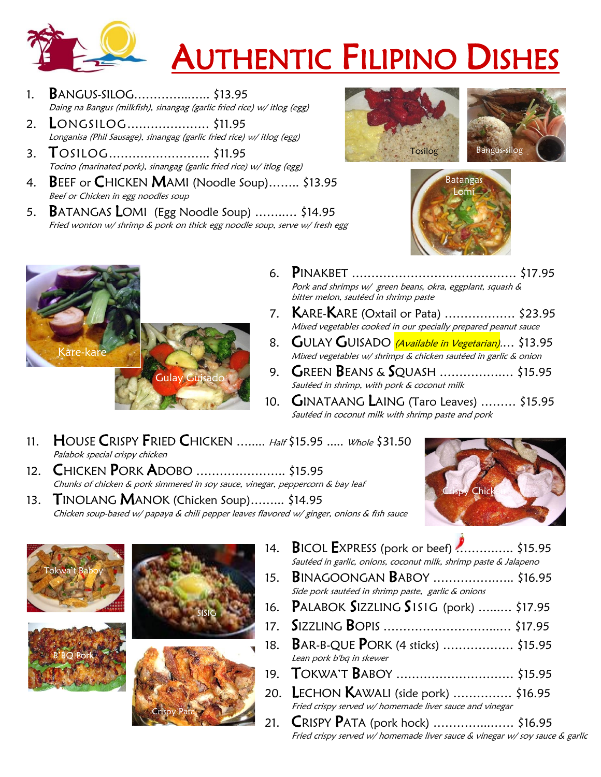

## AUTHENTIC FILIPINO DISHES

- 1. BANGUS-SILOG…………...….. \$13.95 Daing na Bangus (milkfish), sinangag (garlic fried rice) w/ itlog (egg)
- 2. LONGSILOG………………… \$11.95 Longanisa (Phil Sausage), sinangag (garlic fried rice) w/ itlog (egg)
- 3. TOSILOG…………………….. \$11.95 Tocino (marinated pork), sinangag (garlic fried rice) w/ itlog (egg)
- 4. BEEF or CHICKEN MAMI (Noodle Soup)........ \$13.95 Beef or Chicken in egg noodles soup
- 5. BATANGAS LOMI (Egg Noodle Soup) ……..… \$14.95 Fried wonton w/ shrimp & pork on thick egg noodle soup, serve w/ fresh egg





- 6. PINAKBET …………………………………… \$17.95 Pork and shrimps w/ green beans, okra, eggplant, squash & bitter melon, sautéed in shrimp paste
- 7. KARE-KARE (Oxtail or Pata) ……………… \$23.95 Mixed vegetables cooked in our specially prepared peanut sauce
- 8. GULAY GUISADO *(Available in Vegetarian)...*. \$13.95 Mixed vegetables w/ shrimps & chicken sautéed in garlic & onion
- 9. GREEN BEANS & SQUASH …………….… \$15.95 Sautéed in shrimp, with pork & coconut milk
- 10. GINATAANG LAING (Taro Leaves) ……… \$15.95 Sautéed in coconut milk with shrimp paste and pork
- 11. HOUSE CRISPY FRIED CHICKEN ........ Half \$15.95 ..... Whole \$31.50 Palabok special crispy chicken
- 12. **CHICKEN PORK ADOBO** .......................... \$15.95 Chunks of chicken & pork simmered in soy sauce, vinegar, peppercorn & bay leaf

Gulay Guisado

13. TINOLANG MANOK (Chicken Soup)……... \$14.95 Chicken soup-based w/ papaya & chili pepper leaves flavored w/ ginger, onions & fish sauce





Kare-kare



Crispy Pata

- 
- 14. BICOL EXPRESS (pork or beef) ............... \$15.95 Sautéed in garlic, onions, coconut milk, shrimp paste & Jalapeno 15. BINAGOONGAN BABOY …………….….. \$16.95
- Side pork sautéed in shrimp paste, garlic & onions 16. PALABOK SIZZLING SISIG (pork) …...… \$17.95
- 17. SIZZLING BOPIS ………………………...… \$17.95
	- 18. BAR-B-QUE PORK (4 sticks) ……………… \$15.95
	- Lean pork b'bq in skewer 19. TOKWA'T BABOY ………………………… \$15.95
	- 20. LECHON KAWALI (side pork) …………… \$16.95
		- Fried crispy served w/ homemade liver sauce and vinegar
	- 21. CRISPY PATA (pork hock) ...................... \$16.95 Fried crispy served w/ homemade liver sauce & vinegar w/ soy sauce & garlic